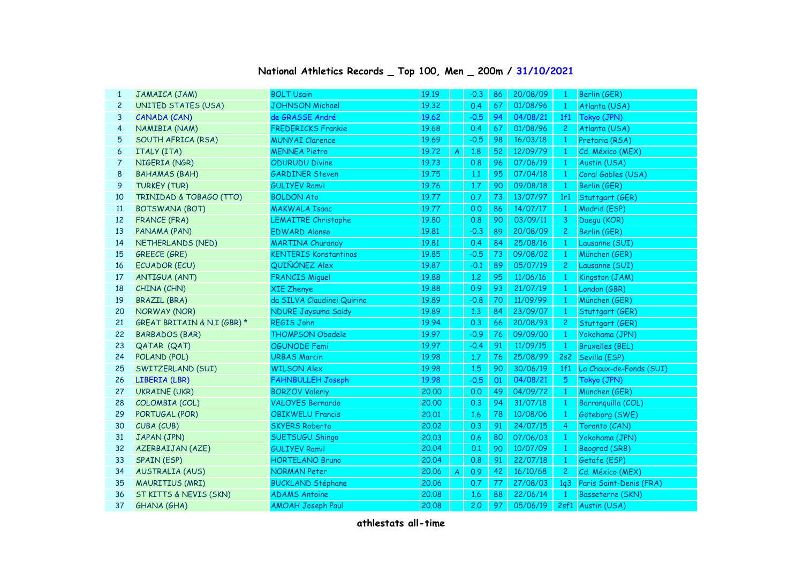## **National Athletics Records \_ Top 100, Men \_ 200m / 31/10/2021**

| $\mathbf{1}$   | JAMAICA (JAM)                      | <b>BOLT Usain</b>            | 19.19 |                | $-0.3$ | 86 | 20/08/09 | $\mathbf{1}$    | Berlin (GER)            |
|----------------|------------------------------------|------------------------------|-------|----------------|--------|----|----------|-----------------|-------------------------|
| $\overline{c}$ | <b>UNITED STATES (USA)</b>         | <b>JOHNSON Michael</b>       | 19.32 |                | 0.4    | 67 | 01/08/96 | $\overline{1}$  | Atlanta (USA)           |
| 3              | CANADA (CAN)                       | de GRASSE André              | 19.62 |                | $-0.5$ | 94 | 04/08/21 | 1f1             | Tokyo (JPN)             |
| 4              | NAMIBIA (NAM)                      | <b>FREDERICKS Frankie</b>    | 19.68 |                | 0.4    | 67 | 01/08/96 | $\mathbf{2}$    | Atlanta (USA)           |
| 5              | SOUTH AFRICA (RSA)                 | <b>MUNYAI Clarence</b>       | 19.69 |                | $-0.5$ | 98 | 16/03/18 | $\mathbf{1}$    | Pretoria (RSA)          |
| 6              | <b>ITALY (ITA)</b>                 | <b>MENNEA Pietro</b>         | 19.72 | A              | 1.8    | 52 | 12/09/79 | $\mathbf{1}$    | Cd. México (MEX)        |
| 7              | NIGERIA (NGR)                      | <b>ODURUDU Divine</b>        | 19.73 |                | 0.8    | 96 | 07/06/19 | $\mathbf{1}$    | Austin (USA)            |
| 8              | <b>BAHAMAS (BAH)</b>               | <b>GARDINER Steven</b>       | 19.75 |                | 1.1    | 95 | 07/04/18 | $\mathbf{1}$    | Coral Gables (USA)      |
| 9              | <b>TURKEY (TUR)</b>                | <b>GULIYEV Ramil</b>         | 19.76 |                | 1.7    | 90 | 09/08/18 | $\mathbf{1}$    | Berlin (GER)            |
| 10             | <b>TRINIDAD &amp; TOBAGO (TTO)</b> | <b>BOLDON Ato</b>            | 19.77 |                | 0.7    | 73 | 13/07/97 | 1r1             | Stuttgart (GER)         |
| 11             | <b>BOTSWANA (BOT)</b>              | <b>MAKWALA Isaac</b>         | 19.77 |                | 0.0    | 86 | 14/07/17 | $\mathbf{1}$    | Madrid (ESP)            |
| 12             | <b>FRANCE (FRA)</b>                | <b>LEMAITRE Christophe</b>   | 19.80 |                | 0.8    | 90 | 03/09/11 | 3               | Daegu (KOR)             |
| 13             | PANAMA (PAN)                       | <b>EDWARD Alonso</b>         | 19.81 |                | $-0.3$ | 89 | 20/08/09 | $\overline{c}$  | Berlin (GER)            |
| 14             | NETHERLANDS (NED)                  | <b>MARTINA Churandy</b>      | 19.81 |                | 0.4    | 84 | 25/08/16 | $\mathbf{1}$    | Lausanne (SUI)          |
| 15             | <b>GREECE (GRE)</b>                | <b>KENTERIS Konstantinos</b> | 19.85 |                | $-0.5$ | 73 | 09/08/02 | $\mathbf{1}$    | München (GER)           |
| 16             | <b>ECUADOR (ECU)</b>               | QUIÑÓNEZ Alex                | 19.87 |                | $-0.1$ | 89 | 05/07/19 | $\overline{c}$  | Lausanne (SUI)          |
| 17             | <b>ANTIGUA (ANT)</b>               | <b>FRANCIS Miguel</b>        | 19.88 |                | 1,2    | 95 | 11/06/16 | 1               | Kingston (JAM)          |
| 18             | CHINA (CHN)                        | <b>XIE Zhenye</b>            | 19.88 |                | 0.9    | 93 | 21/07/19 | 1               | London (GBR)            |
| 19             | <b>BRAZIL (BRA)</b>                | da SILVA Claudinei Quirino   | 19.89 |                | $-0.8$ | 70 | 11/09/99 | $\mathbf{1}$    | München (GER)           |
| 20             | NORWAY (NOR)                       | <b>NDURE Jaysuma Saidy</b>   | 19.89 |                | 1.3    | 84 | 23/09/07 | $\mathbf{1}$    | Stuttgart (GER)         |
| 21             | GREAT BRITAIN & N.I (GBR) *        | <b>REGIS John</b>            | 19.94 |                | 0.3    | 66 | 20/08/93 | $\overline{2}$  | Stuttgart (GER)         |
| 22             | <b>BARBADOS (BAR)</b>              | <b>THOMPSON Obadele</b>      | 19.97 |                | $-0.9$ | 76 | 09/09/00 | $\mathbf{1}$    | Yokohama (JPN)          |
| 23             | QATAR (QAT)                        | OGUNODE Femi                 | 19.97 |                | $-0.4$ | 91 | 11/09/15 | $\mathbf{1}$    | <b>Bruxelles (BEL)</b>  |
| 24             | POLAND (POL)                       | <b>URBAS Marcin</b>          | 19.98 |                | 1.7    | 76 | 25/08/99 | 2s2             | Sevilla (ESP)           |
| 25             | SWITZERLAND (SUI)                  | <b>WILSON Alex</b>           | 19.98 |                | 1.5    | 90 | 30/06/19 | 1f1             | La Chaux-de-Fonds (SUI) |
| 26             | LIBERIA (LBR)                      | <b>FAHNBULLEH Joseph</b>     | 19.98 |                | $-0.5$ | 01 | 04/08/21 | $5\overline{5}$ | Tokyo (JPN)             |
| 27             | <b>UKRAINE (UKR)</b>               | <b>BORZOV Valeriy</b>        | 20,00 |                | 0.0    | 49 | 04/09/72 | $\mathbf{1}$    | München (GER)           |
| 28             | COLOMBIA (COL)                     | <b>VALOYES Bernardo</b>      | 20.00 |                | 0.3    | 94 | 31/07/18 | $\mathbf{1}$    | Barranquilla (COL)      |
| 29             | PORTUGAL (POR)                     | <b>OBIKWELU Francis</b>      | 20.01 |                | 1.6    | 78 | 10/08/06 | $\mathbf{1}$    | Göteborg (SWE)          |
| 30             | CUBA (CUB)                         | <b>SKYERS Roberto</b>        | 20.02 |                | 0.3    | 91 | 24/07/15 | 4               | Toronto (CAN)           |
| 31             | JAPAN (JPN)                        | <b>SUETSUGU Shingo</b>       | 20.03 |                | 0.6    | 80 | 07/06/03 | $\mathbf{1}$    | Yokohama (JPN)          |
| 32             | AZERBAIJAN (AZE)                   | <b>GULIYEV Ramil</b>         | 20.04 |                | 0.1    | 90 | 10/07/09 | $\mathbf{1}$    | Beograd (SRB)           |
| 33             | <b>SPAIN (ESP)</b>                 | <b>HORTELANO Bruno</b>       | 20.04 |                | 0.8    | 91 | 22/07/18 | $\mathbf{1}$    | Getafe (ESP)            |
| 34             | <b>AUSTRALIA (AUS)</b>             | <b>NORMAN Peter</b>          | 20.06 | $\overline{A}$ | 0.9    | 42 | 16/10/68 | $\overline{c}$  | Cd. México (MEX)        |
| 35             | <b>MAURITIUS (MRI)</b>             | <b>BUCKLAND Stéphane</b>     | 20.06 |                | 0.7    | 77 | 27/08/03 | 1q3             | Paris Saint-Denis (FRA) |
| 36             | ST KITTS & NEVIS (SKN)             | <b>ADAMS Antoine</b>         | 20.08 |                | 1.6    | 88 | 22/06/14 | $\mathbf{1}$    | Basseterre (SKN)        |
| 37             | <b>GHANA (GHA)</b>                 | <b>AMOAH Joseph Paul</b>     | 20.08 |                | 2,0    | 97 | 05/06/19 |                 | 2sf1 Austin (USA)       |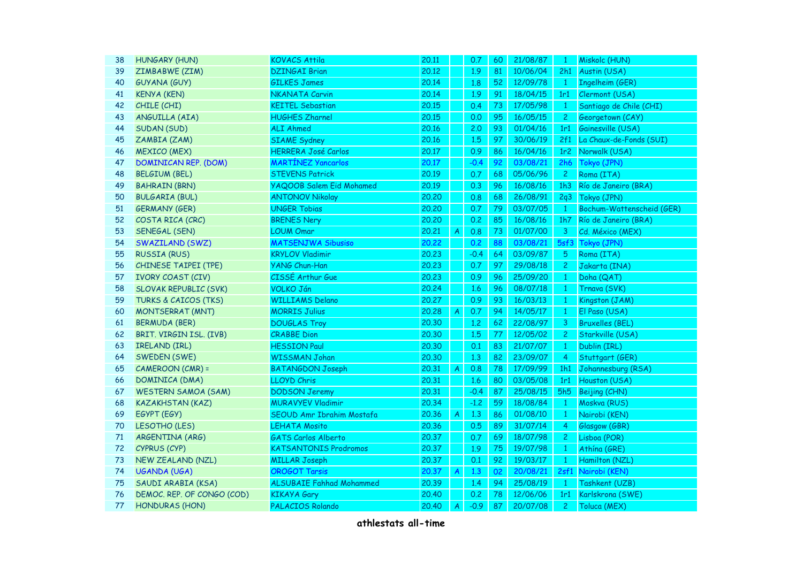| 38 | HUNGARY (HUN)                   | <b>KOVACS Attila</b>            | 20.11 |                  | 0.7    | 60              | 21/08/87 | $\mathbf{1}$            | Miskolc (HUN)             |
|----|---------------------------------|---------------------------------|-------|------------------|--------|-----------------|----------|-------------------------|---------------------------|
| 39 | ZIMBABWE (ZIM)                  | <b>DZINGAI Brian</b>            | 20.12 |                  | 1.9    | 81              | 10/06/04 | 2h1                     | Austin (USA)              |
| 40 | GUYANA (GUY)                    | <b>GILKES James</b>             | 20.14 |                  | 1.8    | 52 <sub>2</sub> | 12/09/78 | $\mathbf{1}$            | Ingelheim (GER)           |
| 41 | <b>KENYA (KEN)</b>              | <b>NKANATA Carvin</b>           | 20.14 |                  | 1.9    | 91              | 18/04/15 | 1r1                     | Clermont (USA)            |
| 42 | CHILE (CHI)                     | <b>KEITEL Sebastian</b>         | 20.15 |                  | 0.4    | 73              | 17/05/98 | $\mathbf{1}$            | Santiago de Chile (CHI)   |
| 43 | ANGUILLA (AIA)                  | <b>HUGHES Zharnel</b>           | 20.15 |                  | 0.0    | 95              | 16/05/15 | $\mathbf{2}$            | Georgetown (CAY)          |
| 44 | SUDAN (SUD)                     | <b>ALI Ahmed</b>                | 20.16 |                  | 2.0    | 93              | 01/04/16 | 1r1                     | Gainesville (USA)         |
| 45 | ZAMBIA (ZAM)                    | <b>SIAME</b> Sydney             | 20.16 |                  | 1.5    | 97              | 30/06/19 | 2f1                     | La Chaux-de-Fonds (SUI)   |
| 46 | <b>MEXICO (MEX)</b>             | <b>HERRERA José Carlos</b>      | 20.17 |                  | 0.9    | 86              | 16/04/16 | 1r <sub>2</sub>         | Norwalk (USA)             |
| 47 | <b>DOMINICAN REP. (DOM)</b>     | <b>MARTÍNEZ Yancarlos</b>       | 20.17 |                  | $-0.4$ | 92              | 03/08/21 | 2h6                     | Tokyo (JPN)               |
| 48 | <b>BELGIUM (BEL)</b>            | <b>STEVENS Patrick</b>          | 20.19 |                  | 0.7    | 68              | 05/06/96 | $\mathbf{2}$            | Roma (ITA)                |
| 49 | <b>BAHRAIN (BRN)</b>            | <b>YAQOOB Salem Eid Mohamed</b> | 20.19 |                  | 0.3    | 96              | 16/08/16 | 1h3                     | Río de Janeiro (BRA)      |
| 50 | <b>BULGARIA (BUL)</b>           | <b>ANTONOV Nikolay</b>          | 20,20 |                  | 0.8    | 68              | 26/08/91 | 2q3                     | Tokyo (JPN)               |
| 51 | <b>GERMANY (GER)</b>            | <b>UNGER Tobias</b>             | 20,20 |                  | 0.7    | 79              | 03/07/05 | $\mathbf{1}$            | Bochum-Wattenscheid (GER) |
| 52 | COSTA RICA (CRC)                | <b>BRENES Nery</b>              | 20,20 |                  | 0.2    | 85              | 16/08/16 | 1h7                     | Río de Janeiro (BRA)      |
| 53 | <b>SENEGAL (SEN)</b>            | <b>LOUM Omar</b>                | 20,21 | A                | 0.8    | 73              | 01/07/00 | $\overline{\mathbf{3}}$ | Cd. México (MEX)          |
| 54 | SWAZILAND (SWZ)                 | <b>MATSENJWA Sibusiso</b>       | 20,22 |                  | 0.2    | 88              | 03/08/21 | 5sf3                    | Tokyo (JPN)               |
| 55 | <b>RUSSIA (RUS)</b>             | <b>KRYLOV Vladimir</b>          | 20,23 |                  | $-0.4$ | 64              | 03/09/87 | 5                       | Roma (ITA)                |
| 56 | <b>CHINESE TAIPEI (TPE)</b>     | <b>YANG Chun-Han</b>            | 20,23 |                  | 0.7    | 97              | 29/08/18 | $\overline{c}$          | Jakarta (INA)             |
| 57 | <b>IVORY COAST (CIV)</b>        | CISSÉ Arthur Gue                | 20.23 |                  | 0.9    | 96              | 25/09/20 | $\mathbf{1}$            | Doha (QAT)                |
| 58 | <b>SLOVAK REPUBLIC (SVK)</b>    | <b>VOLKO Ján</b>                | 20,24 |                  | 1.6    | 96              | 08/07/18 | $\mathbf{1}$            | Trnava (SVK)              |
| 59 | <b>TURKS &amp; CAICOS (TKS)</b> | <b>WILLIAMS Delano</b>          | 20,27 |                  | 0.9    | 93              | 16/03/13 | $\mathbf{1}$            | Kingston (JAM)            |
| 60 | <b>MONTSERRAT (MNT)</b>         | <b>MORRIS Julius</b>            | 20,28 | A                | 0.7    | 94              | 14/05/17 | $\mathbf{1}$            | El Paso (USA)             |
| 61 | BERMUDA (BER)                   | <b>DOUGLAS Troy</b>             | 20.30 |                  | 1.2    | 62              | 22/08/97 | 3                       | <b>Bruxelles (BEL)</b>    |
| 62 | BRIT. VIRGIN ISL. (IVB)         | <b>CRABBE</b> Dion              | 20.30 |                  | 1.5    | 77              | 12/05/02 | $\overline{2}$          | Starkville (USA)          |
| 63 | <b>IRELAND (IRL)</b>            | <b>HESSION Paul</b>             | 20,30 |                  | 0.1    | 83              | 21/07/07 | $\mathbf{1}$            | Dublin (IRL)              |
| 64 | SWEDEN (SWE)                    | <b>WISSMAN Johan</b>            | 20.30 |                  | 1.3    | 82              | 23/09/07 | $\overline{4}$          | Stuttgart (GER)           |
| 65 | <b>CAMEROON (CMR) =</b>         | <b>BATANGDON Joseph</b>         | 20,31 | $\overline{A}$   | 0.8    | 78              | 17/09/99 | 1h1                     | Johannesburg (RSA)        |
| 66 | DOMINICA (DMA)                  | <b>LLOYD Chris</b>              | 20.31 |                  | 1.6    | 80              | 03/05/08 | 1r1                     | Houston (USA)             |
| 67 | <b>WESTERN SAMOA (SAM)</b>      | <b>DODSON Jeremy</b>            | 20,31 |                  | $-0.4$ | 87              | 25/08/15 | 5h <sub>5</sub>         | Beijing (CHN)             |
| 68 | <b>KAZAKHSTAN (KAZ)</b>         | <b>MURAVYEV Vladimir</b>        | 20.34 |                  | $-1,2$ | 59              | 18/08/84 | $\mathbf{1}$            | Moskva (RUS)              |
| 69 | EGYPT (EGY)                     | SEOUD Amr Ibrahim Mostafa       | 20.36 | $\overline{A}$   | 1.3    | 86              | 01/08/10 | $\mathbf{1}$            | Nairobi (KEN)             |
| 70 | LESOTHO (LES)                   | <b>LEHATA Mosito</b>            | 20.36 |                  | 0.5    | 89              | 31/07/14 | $\overline{4}$          | Glasgow (GBR)             |
| 71 | ARGENTINA (ARG)                 | <b>GATS Carlos Alberto</b>      | 20,37 |                  | 0.7    | 69              | 18/07/98 | $\overline{c}$          | Lisboa (POR)              |
| 72 | CYPRUS (CYP)                    | <b>KATSANTONIS Prodromos</b>    | 20.37 |                  | 1.9    | 75              | 19/07/98 | $\mathbf{1}$            | Athína (GRE)              |
| 73 | <b>NEW ZEALAND (NZL)</b>        | <b>MILLAR Joseph</b>            | 20.37 |                  | 0.1    | 92              | 19/03/17 | $\mathbf{1}$            | Hamilton (NZL)            |
| 74 | <b>UGANDA (UGA)</b>             | <b>OROGOT Tarsis</b>            | 20.37 | $\boldsymbol{A}$ | 1.3    | 02              | 20/08/21 |                         | 2sf1 Nairobi (KEN)        |
| 75 | SAUDI ARABIA (KSA)              | <b>ALSUBAIE Fahhad Mohammed</b> | 20.39 |                  | 1.4    | 94              | 25/08/19 | $\mathbf{1}$            | Tashkent (UZB)            |
| 76 | DEMOC. REP. OF CONGO (COD)      | <b>KIKAYA Gary</b>              | 20,40 |                  | 0.2    | 78              | 12/06/06 | 1r1                     | Karlskrona (SWE)          |
| 77 | <b>HONDURAS (HON)</b>           | PALACIOS Rolando                | 20.40 | A                | $-0.9$ | 87              | 20/07/08 | $\overline{2}$          | Toluca (MEX)              |